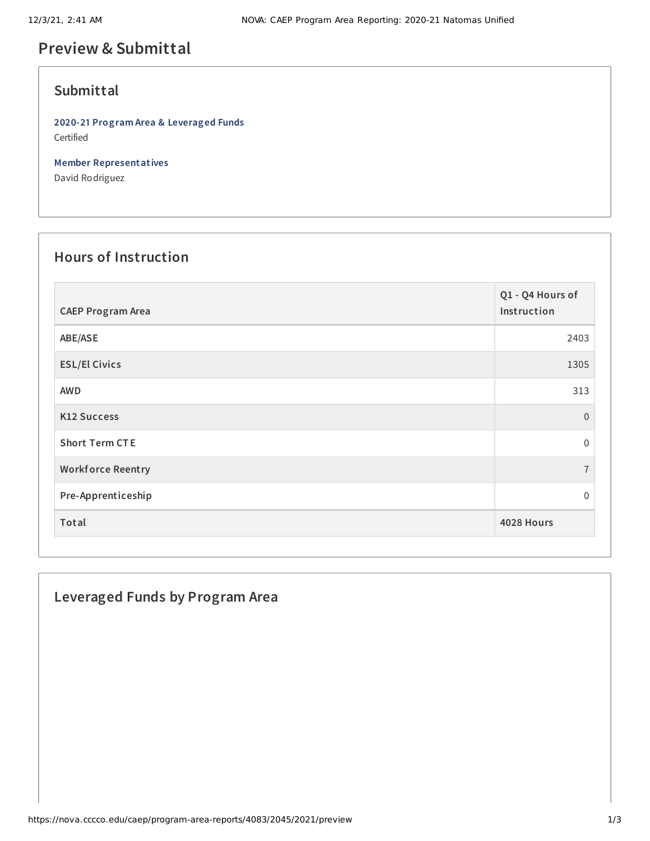# **Preview & Submittal**

## **Submittal**

**2020-21 Program Area & Leveraged Funds** Certified

**Member Representatives**

David Rodriguez

# **Hours of Instruction**

| <b>CAEP Program Area</b> | Q1 - Q4 Hours of<br>Instruction |
|--------------------------|---------------------------------|
| ABE/ASE                  | 2403                            |
| <b>ESL/El Civics</b>     | 1305                            |
| <b>AWD</b>               | 313                             |
| <b>K12 Success</b>       | $\overline{0}$                  |
| <b>Short Term CTE</b>    | $\mathbf{0}$                    |
| <b>Workforce Reentry</b> | $\overline{7}$                  |
| Pre-Apprenticeship       | 0                               |
| Total                    | 4028 Hours                      |

## **Leveraged Funds by Program Area**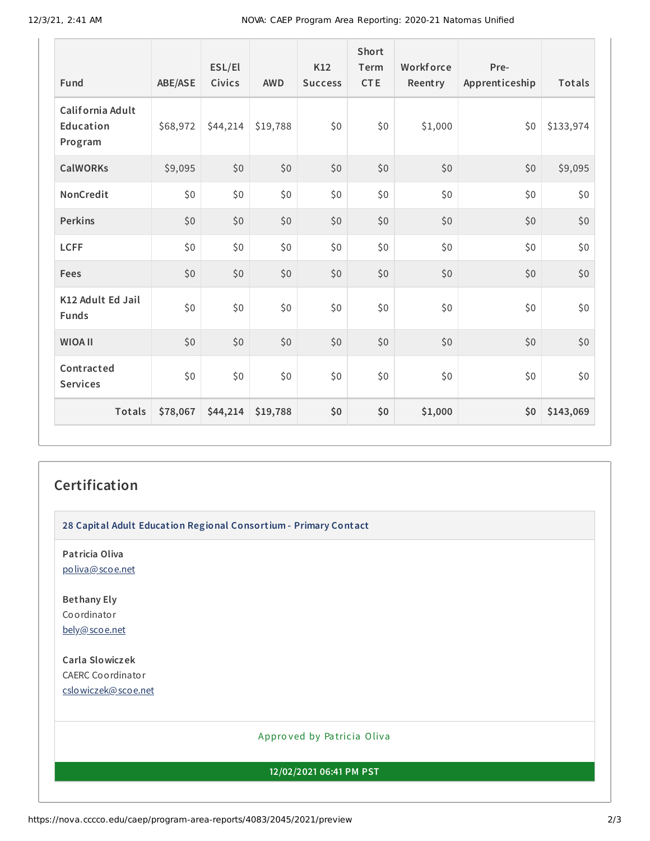| Fund                                     | <b>ABE/ASE</b> | ESL/El<br>Civics | <b>AWD</b> | K12<br><b>Success</b> | Short<br>Term<br><b>CTE</b> | Workforce<br>Reentry | Pre-<br>Apprenticeship | Totals    |
|------------------------------------------|----------------|------------------|------------|-----------------------|-----------------------------|----------------------|------------------------|-----------|
| California Adult<br>Education<br>Program | \$68,972       | \$44,214         | \$19,788   | \$0                   | \$0                         | \$1,000              | \$0                    | \$133,974 |
| <b>CalWORKs</b>                          | \$9,095        | \$0              | \$0        | \$0                   | \$0                         | \$0                  | \$0                    | \$9,095   |
| NonCredit                                | \$0\$          | \$0              | \$0        | \$0                   | \$0                         | \$0                  | \$0                    | \$0       |
| <b>Perkins</b>                           | \$0            | \$0              | \$0        | \$0                   | \$0                         | \$0                  | \$0                    | $$0$$     |
| <b>LCFF</b>                              | \$0\$          | \$0              | \$0        | \$0                   | \$0                         | \$0                  | \$0                    | \$0       |
| Fees                                     | \$0            | \$0              | \$0        | \$0                   | \$0                         | \$0                  | \$0                    | \$0       |
| K12 Adult Ed Jail<br><b>Funds</b>        | \$0\$          | \$0              | \$0        | \$0                   | \$0                         | \$0                  | \$0                    | \$0       |
| <b>WIOA II</b>                           | \$0            | \$0              | \$0        | \$0                   | \$0                         | \$0                  | \$0                    | \$0       |
| Contracted<br><b>Services</b>            | \$0\$          | \$0              | \$0\$      | \$0                   | \$0                         | \$0                  | \$0                    | \$0       |
| <b>Totals</b>                            | \$78,067       | \$44,214         | \$19,788   | \$0                   | \$0                         | \$1,000              | \$0                    | \$143,069 |

#### **Certification**

**28 Capital Adult Education Regional Consortium - Primary Contact**

**Patricia Oliva** [poliva@scoe.net](mailto:poliva@scoe.net)

**Bethany Ely** Coordinator [bely@scoe.net](mailto:bely@scoe.net)

**Carla Slowiczek** CAERC Coordinator [cslowiczek@scoe.net](mailto:cslowiczek@scoe.net)

#### Appro ved by Pa tricia Oliva

**12/02/2021 06:41 PM PST**